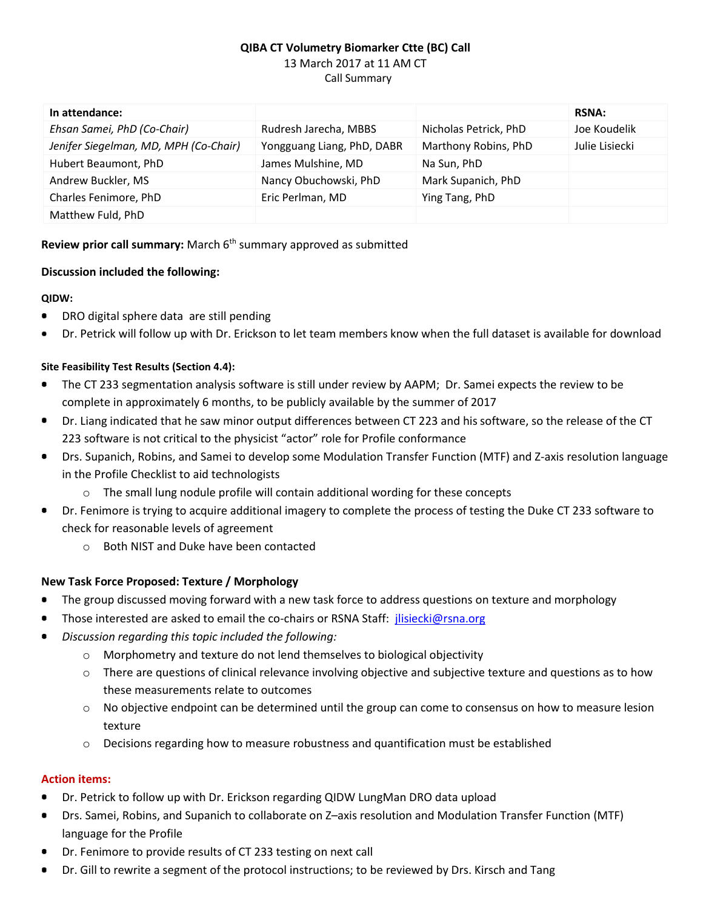# **QIBA CT Volumetry Biomarker Ctte (BC) Call** 13 March 2017 at 11 AM CT Call Summary

| In attendance:                        |                            |                       | <b>RSNA:</b>   |
|---------------------------------------|----------------------------|-----------------------|----------------|
| Ehsan Samei, PhD (Co-Chair)           | Rudresh Jarecha, MBBS      | Nicholas Petrick, PhD | Joe Koudelik   |
| Jenifer Siegelman, MD, MPH (Co-Chair) | Yongguang Liang, PhD, DABR | Marthony Robins, PhD  | Julie Lisiecki |
| Hubert Beaumont, PhD                  | James Mulshine, MD         | Na Sun, PhD           |                |
| Andrew Buckler, MS                    | Nancy Obuchowski, PhD      | Mark Supanich, PhD    |                |
| Charles Fenimore, PhD                 | Eric Perlman, MD           | Ying Tang, PhD        |                |
| Matthew Fuld, PhD                     |                            |                       |                |

### **Review prior call summary:** March 6<sup>th</sup> summary approved as submitted

### **Discussion included the following:**

### **QIDW:**

- DRO digital sphere data are still pending
- Dr. Petrick will follow up with Dr. Erickson to let team members know when the full dataset is available for download

### **Site Feasibility Test Results (Section 4.4):**

- The CT 233 segmentation analysis software is still under review by AAPM; Dr. Samei expects the review to be complete in approximately 6 months, to be publicly available by the summer of 2017
- Dr. Liang indicated that he saw minor output differences between CT 223 and his software, so the release of the CT  $\bullet$ 223 software is not critical to the physicist "actor" role for Profile conformance
- Drs. Supanich, Robins, and Samei to develop some Modulation Transfer Function (MTF) and Z-axis resolution language  $\bullet$ in the Profile Checklist to aid technologists
	- o The small lung nodule profile will contain additional wording for these concepts
- Dr. Fenimore is trying to acquire additional imagery to complete the process of testing the Duke CT 233 software to ٠ check for reasonable levels of agreement
	- o Both NIST and Duke have been contacted

## **New Task Force Proposed: Texture / Morphology**

- The group discussed moving forward with a new task force to address questions on texture and morphology
- Those interested are asked to email the co-chairs or RSNA Staff: [jlisiecki@rsna.org](mailto:jlisiecki@rsna.org)
- *Discussion regarding this topic included the following:*
	- $\circ$  Morphometry and texture do not lend themselves to biological objectivity
	- $\circ$  There are questions of clinical relevance involving objective and subjective texture and questions as to how these measurements relate to outcomes
	- $\circ$  No objective endpoint can be determined until the group can come to consensus on how to measure lesion texture
	- o Decisions regarding how to measure robustness and quantification must be established

#### **Action items:**

- Dr. Petrick to follow up with Dr. Erickson regarding QIDW LungMan DRO data upload
- Drs. Samei, Robins, and Supanich to collaborate on Z–axis resolution and Modulation Transfer Function (MTF) language for the Profile
- Dr. Fenimore to provide results of CT 233 testing on next call
- Dr. Gill to rewrite a segment of the protocol instructions; to be reviewed by Drs. Kirsch and Tang